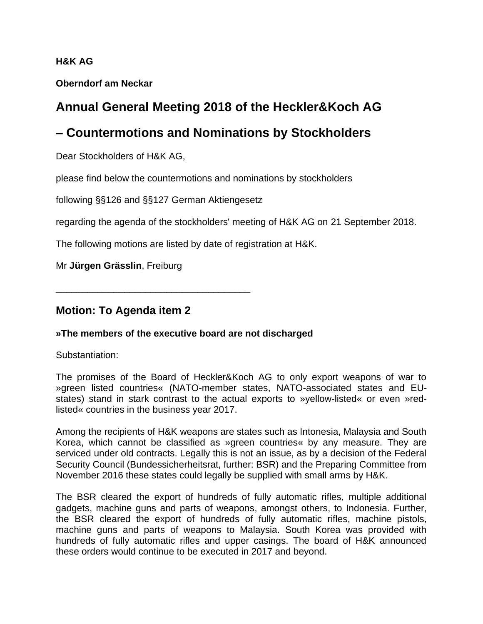#### **H&K AG**

**Oberndorf am Neckar**

# **Annual General Meeting 2018 of the Heckler&Koch AG**

## **– Countermotions and Nominations by Stockholders**

Dear Stockholders of H&K AG,

please find below the countermotions and nominations by stockholders

following §§126 and §§127 German Aktiengesetz

regarding the agenda of the stockholders' meeting of H&K AG on 21 September 2018.

The following motions are listed by date of registration at H&K.

Mr **Jürgen Grässlin**, Freiburg

\_\_\_\_\_\_\_\_\_\_\_\_\_\_\_\_\_\_\_\_\_\_\_\_\_\_\_\_\_\_\_\_\_\_\_\_\_

### **Motion: To Agenda item 2**

#### **»The members of the executive board are not discharged**

Substantiation:

The promises of the Board of Heckler&Koch AG to only export weapons of war to »green listed countries« (NATO-member states, NATO-associated states and EUstates) stand in stark contrast to the actual exports to »yellow-listed« or even »redlisted« countries in the business year 2017.

Among the recipients of H&K weapons are states such as Intonesia, Malaysia and South Korea, which cannot be classified as »green countries« by any measure. They are serviced under old contracts. Legally this is not an issue, as by a decision of the Federal Security Council (Bundessicherheitsrat, further: BSR) and the Preparing Committee from November 2016 these states could legally be supplied with small arms by H&K.

The BSR cleared the export of hundreds of fully automatic rifles, multiple additional gadgets, machine guns and parts of weapons, amongst others, to Indonesia. Further, the BSR cleared the export of hundreds of fully automatic rifles, machine pistols, machine guns and parts of weapons to Malaysia. South Korea was provided with hundreds of fully automatic rifles and upper casings. The board of H&K announced these orders would continue to be executed in 2017 and beyond.